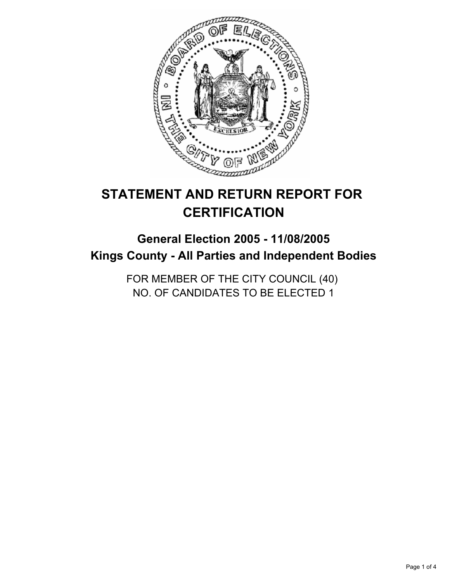

# **STATEMENT AND RETURN REPORT FOR CERTIFICATION**

## **General Election 2005 - 11/08/2005 Kings County - All Parties and Independent Bodies**

FOR MEMBER OF THE CITY COUNCIL (40) NO. OF CANDIDATES TO BE ELECTED 1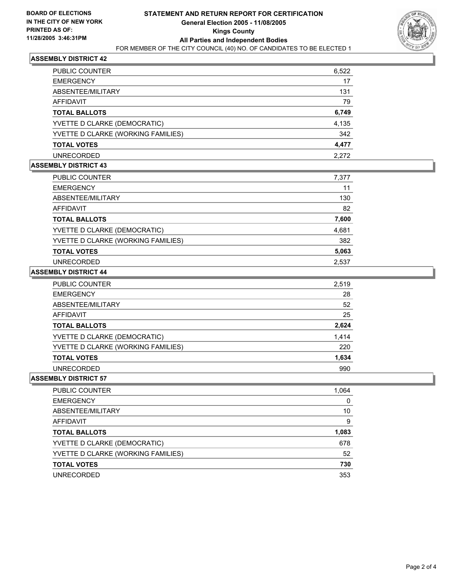

#### **ASSEMBLY DISTRICT 42**

| <b>PUBLIC COUNTER</b>              | 6,522 |
|------------------------------------|-------|
| <b>EMERGENCY</b>                   | 17    |
| ABSENTEE/MILITARY                  | 131   |
| AFFIDAVIT                          | 79    |
| <b>TOTAL BALLOTS</b>               | 6,749 |
| YVETTE D CLARKE (DEMOCRATIC)       | 4,135 |
| YVETTE D CLARKE (WORKING FAMILIES) | 342   |
| <b>TOTAL VOTES</b>                 | 4,477 |
| <b>UNRECORDED</b>                  | 2.272 |

#### **ASSEMBLY DISTRICT 43**

| <b>PUBLIC COUNTER</b>              | 7,377 |
|------------------------------------|-------|
| <b>EMERGENCY</b>                   | 11    |
| ABSENTEE/MILITARY                  | 130   |
| AFFIDAVIT                          | 82    |
| <b>TOTAL BALLOTS</b>               | 7,600 |
| YVETTE D CLARKE (DEMOCRATIC)       | 4,681 |
| YVETTE D CLARKE (WORKING FAMILIES) | 382   |
| <b>TOTAL VOTES</b>                 | 5,063 |
| <b>UNRECORDED</b>                  | 2.537 |

#### **ASSEMBLY DISTRICT 44**

| PUBLIC COUNTER                     | 2,519 |
|------------------------------------|-------|
| <b>EMERGENCY</b>                   | 28    |
| ABSENTEE/MILITARY                  | 52    |
| AFFIDAVIT                          | 25    |
| <b>TOTAL BALLOTS</b>               | 2,624 |
| YVETTE D CLARKE (DEMOCRATIC)       | 1,414 |
| YVETTE D CLARKE (WORKING FAMILIES) | 220   |
| <b>TOTAL VOTES</b>                 | 1,634 |
| <b>UNRECORDED</b>                  | 990   |

#### **ASSEMBLY DISTRICT 57**

| <b>PUBLIC COUNTER</b>              | 1,064 |
|------------------------------------|-------|
| <b>EMERGENCY</b>                   |       |
| ABSENTEE/MILITARY                  | 10    |
| AFFIDAVIT                          | 9     |
| <b>TOTAL BALLOTS</b>               | 1,083 |
| YVETTE D CLARKE (DEMOCRATIC)       | 678   |
| YVETTE D CLARKE (WORKING FAMILIES) | 52    |
| <b>TOTAL VOTES</b>                 | 730   |
| <b>UNRECORDED</b>                  | 353   |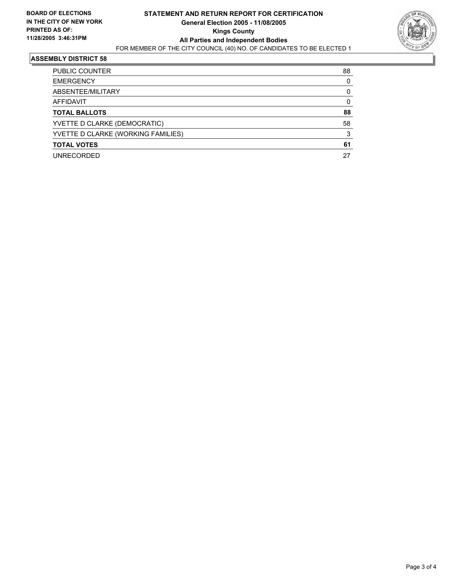![](_page_2_Picture_2.jpeg)

#### **ASSEMBLY DISTRICT 58**

| <b>PUBLIC COUNTER</b>              | 88 |
|------------------------------------|----|
| <b>EMERGENCY</b>                   |    |
| ABSENTEE/MILITARY                  |    |
| AFFIDAVIT                          |    |
| <b>TOTAL BALLOTS</b>               | 88 |
| YVETTE D CLARKE (DEMOCRATIC)       | 58 |
| YVETTE D CLARKE (WORKING FAMILIES) |    |
| <b>TOTAL VOTES</b>                 | 61 |
| <b>UNRECORDED</b>                  | 27 |